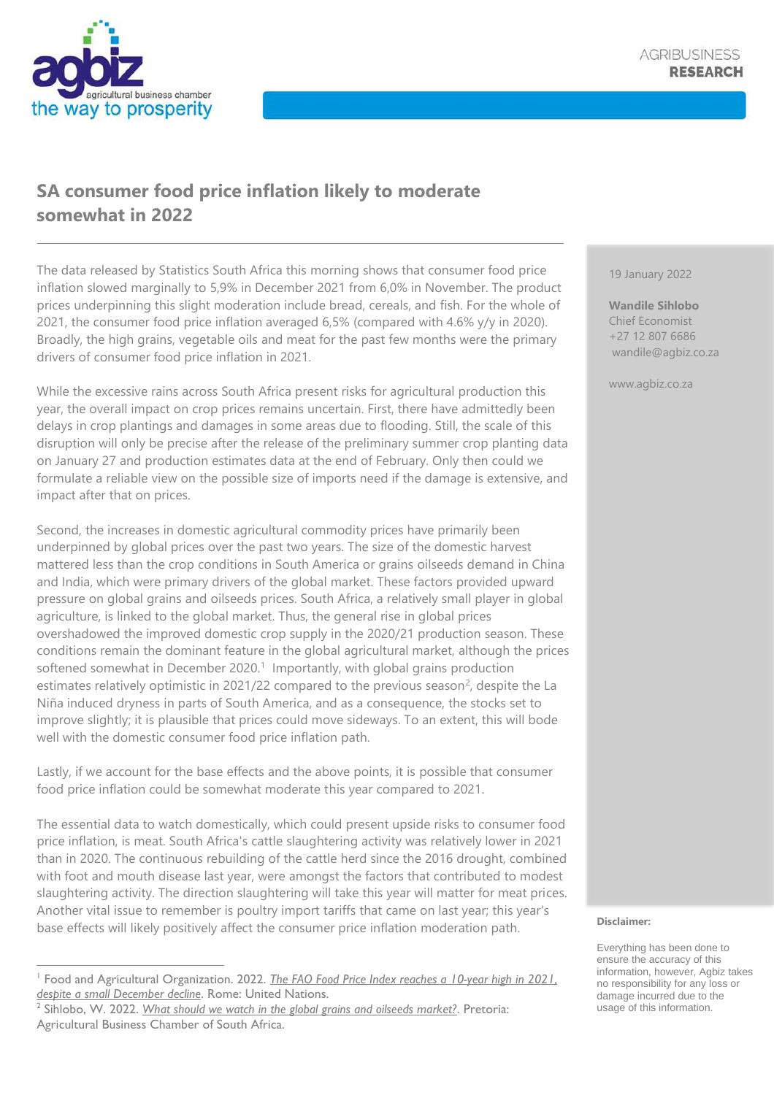## **SA consumer food price inflation likely to moderate somewhat in 2022**

The data released by Statistics South Africa this morning shows that consumer food price inflation slowed marginally to 5,9% in December 2021 from 6,0% in November. The product prices underpinning this slight moderation include bread, cereals, and fish. For the whole of 2021, the consumer food price inflation averaged 6,5% (compared with 4.6% y/y in 2020). Broadly, the high grains, vegetable oils and meat for the past few months were the primary drivers of consumer food price inflation in 2021.

While the excessive rains across South Africa present risks for agricultural production this year, the overall impact on crop prices remains uncertain. First, there have admittedly been delays in crop plantings and damages in some areas due to flooding. Still, the scale of this disruption will only be precise after the release of the preliminary summer crop planting data on January 27 and production estimates data at the end of February. Only then could we formulate a reliable view on the possible size of imports need if the damage is extensive, and impact after that on prices.

Second, the increases in domestic agricultural commodity prices have primarily been underpinned by global prices over the past two years. The size of the domestic harvest mattered less than the crop conditions in South America or grains oilseeds demand in China and India, which were primary drivers of the global market. These factors provided upward pressure on global grains and oilseeds prices. South Africa, a relatively small player in global agriculture, is linked to the global market. Thus, the general rise in global prices overshadowed the improved domestic crop supply in the 2020/21 production season. These conditions remain the dominant feature in the global agricultural market, although the prices softened somewhat in December 2020.<sup>1</sup> Importantly, with global grains production estimates relatively optimistic in 2021/22 compared to the previous season<sup>2</sup>, despite the La Niña induced dryness in parts of South America, and as a consequence, the stocks set to improve slightly; it is plausible that prices could move sideways. To an extent, this will bode well with the domestic consumer food price inflation path.

Lastly, if we account for the base effects and the above points, it is possible that consumer food price inflation could be somewhat moderate this year compared to 2021.

The essential data to watch domestically, which could present upside risks to consumer food price inflation, is meat. South Africa's cattle slaughtering activity was relatively lower in 2021 than in 2020. The continuous rebuilding of the cattle herd since the 2016 drought, combined with foot and mouth disease last year, were amongst the factors that contributed to modest slaughtering activity. The direction slaughtering will take this year will matter for meat prices. Another vital issue to remember is poultry import tariffs that came on last year; this year's base effects will likely positively affect the consumer price inflation moderation path.

19 January 2022

**Wandile Sihlobo** Chief Economist +27 12 807 6686 wandile@agbiz.co.za

www.agbiz.co.za

## **Disclaimer:**

Everything has been done to ensure the accuracy of this information, however, Agbiz takes no responsibility for any loss or damage incurred due to the usage of this information.

<sup>1</sup> Food and Agricultural Organization. 2022. *[The FAO Food Price Index reaches a 10-year high in 2021,](https://www.fao.org/worldfoodsituation/foodpricesindex/en/)  [despite a small December decline](https://www.fao.org/worldfoodsituation/foodpricesindex/en/)*. Rome: United Nations.

<sup>2</sup> Sihlobo, W. 2022. *[What should we watch in the global grains and oilseeds market?](https://agbiz.co.za/blog/details/what-should-we-watch-in-the-global-grains-and-oilseeds-market)*. Pretoria: Agricultural Business Chamber of South Africa.